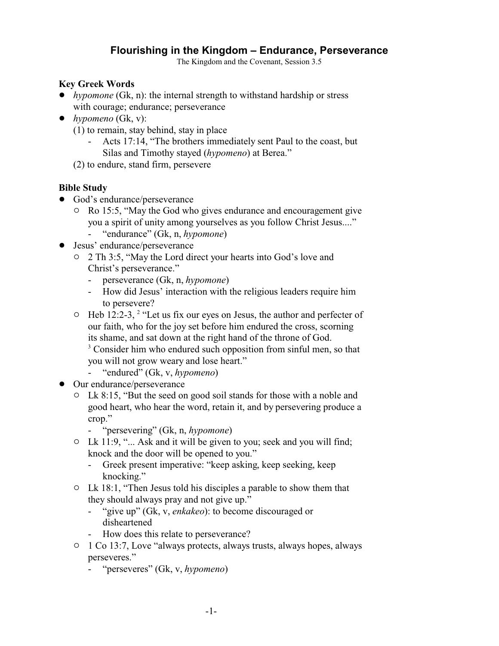# **Flourishing in the Kingdom – Endurance, Perseverance**

The Kingdom and the Covenant, Session 3.5

### **Key Greek Words**

- *hypomone* (Gk, n): the internal strength to withstand hardship or stress with courage; endurance; perseverance
- ! *hypomeno* (Gk, v):
	- (1) to remain, stay behind, stay in place
		- Acts 17:14, "The brothers immediately sent Paul to the coast, but Silas and Timothy stayed (*hypomeno*) at Berea."
	- (2) to endure, stand firm, persevere

## **Bible Study**

- God's endurance/perseverance
	- $\circ$  Ro 15:5, "May the God who gives endurance and encouragement give you a spirit of unity among yourselves as you follow Christ Jesus...."
		- "endurance" (Gk, n, *hypomone*)
- Jesus' endurance/perseverance
	- " 2 Th 3:5, "May the Lord direct your hearts into God's love and Christ's perseverance."
		- perseverance (Gk, n, *hypomone*)
		- How did Jesus' interaction with the religious leaders require him to persevere?
	- $\circ$  Heb 12:2-3, <sup>2</sup> "Let us fix our eyes on Jesus, the author and perfecter of our faith, who for the joy set before him endured the cross, scorning its shame, and sat down at the right hand of the throne of God.
		- <sup>3</sup> Consider him who endured such opposition from sinful men, so that you will not grow weary and lose heart."
		- "endured" (Gk, v, *hypomeno*)
- Our endurance/perseverance
	- $\circ$  Lk 8:15, "But the seed on good soil stands for those with a noble and good heart, who hear the word, retain it, and by persevering produce a crop."
		- "persevering" (Gk, n, *hypomone*)
	- $\circ$  Lk 11:9, "... Ask and it will be given to you; seek and you will find; knock and the door will be opened to you."
		- Greek present imperative: "keep asking, keep seeking, keep knocking."
	- $\circ$  Lk 18:1, "Then Jesus told his disciples a parable to show them that they should always pray and not give up."
		- "give up" (Gk, v, *enkakeo*): to become discouraged or disheartened
		- How does this relate to perseverance?
	- $\circ$  1 Co 13:7, Love "always protects, always trusts, always hopes, always perseveres."
		- "perseveres" (Gk, v, *hypomeno*)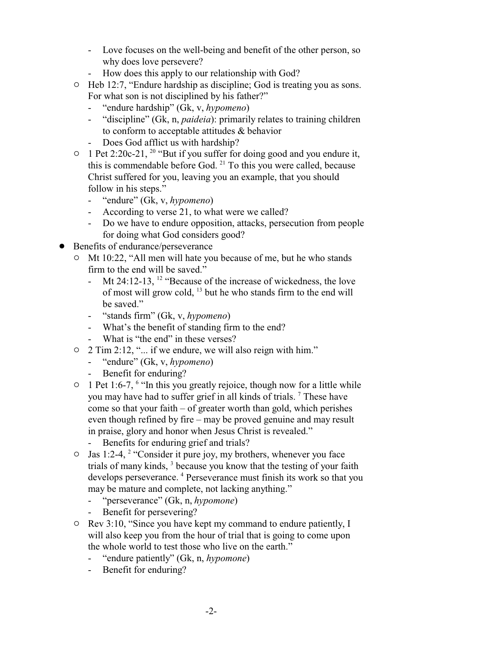- Love focuses on the well-being and benefit of the other person, so why does love persevere?
- How does this apply to our relationship with God?
- $\circ$  Heb 12:7, "Endure hardship as discipline; God is treating you as sons. For what son is not disciplined by his father?"
	- "endure hardship" (Gk, v, *hypomeno*)
	- "discipline" (Gk, n, *paideia*): primarily relates to training children to conform to acceptable attitudes & behavior
	- Does God afflict us with hardship?
- $\circ$  1 Pet 2:20c-21, <sup>20</sup> "But if you suffer for doing good and you endure it, this is commendable before God. <sup>21</sup> To this you were called, because Christ suffered for you, leaving you an example, that you should follow in his steps."
	- "endure" (Gk, v, *hypomeno*)
	- According to verse 21, to what were we called?
	- Do we have to endure opposition, attacks, persecution from people for doing what God considers good?
- Benefits of endurance/perseverance
	- $\circ$  Mt 10:22, "All men will hate you because of me, but he who stands firm to the end will be saved."
		- Mt 24:12-13,  $12$  "Because of the increase of wickedness, the love of most will grow cold, <sup>13</sup> but he who stands firm to the end will be saved."
		- "stands firm" (Gk, v, *hypomeno*)
		- What's the benefit of standing firm to the end?
		- What is "the end" in these verses?
	- $\circ$  2 Tim 2:12, "... if we endure, we will also reign with him."
		- "endure" (Gk, v, *hypomeno*)
		- Benefit for enduring?
	- $\circ$  1 Pet 1:6-7, <sup>6</sup> "In this you greatly rejoice, though now for a little while you may have had to suffer grief in all kinds of trials.<sup>7</sup> These have come so that your faith – of greater worth than gold, which perishes even though refined by fire – may be proved genuine and may result in praise, glory and honor when Jesus Christ is revealed."
		- Benefits for enduring grief and trials?
	- $\circ$  Jas 1:2-4, <sup>2</sup> "Consider it pure joy, my brothers, whenever you face trials of many kinds, <sup>3</sup> because you know that the testing of your faith develops perseverance. <sup>4</sup> Perseverance must finish its work so that you may be mature and complete, not lacking anything."
		- "perseverance" (Gk, n, *hypomone*)
		- Benefit for persevering?
	- $\circ$  Rev 3:10, "Since you have kept my command to endure patiently, I will also keep you from the hour of trial that is going to come upon the whole world to test those who live on the earth."
		- "endure patiently" (Gk, n, *hypomone*)
		- Benefit for enduring?